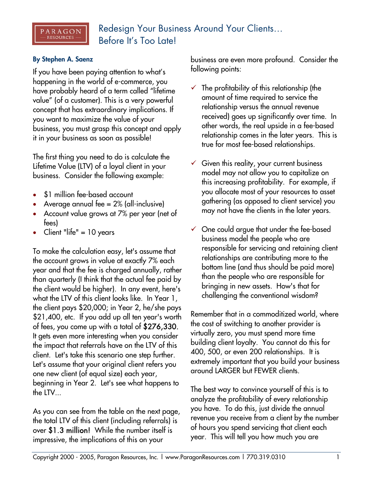## **By Stephen A. Saenz**

 $\begin{array}{l} \texttt{PARAGON} \\ - \texttt{resources} \, - \end{array}$ 

If you have been paying attention to what's happening in the world of e-commerce, you have probably heard of a term called "lifetime value" (of a customer). This is a very powerful concept that has extraordinary implications. If you want to maximize the value of your business, you must grasp this concept and apply it in your business as soon as possible!

The first thing you need to do is calculate the Lifetime Value (LTV) of a loyal client in your business. Consider the following example:

- \$1 million fee-based account
- Average annual fee  $= 2\%$  (all-inclusive)
- Account value grows at 7% per year (net of fees)
- Client "life" = 10 years

To make the calculation easy, let's assume that the account grows in value at exactly 7% each year and that the fee is charged annually, rather than quarterly (I think that the actual fee paid by the client would be higher). In any event, here's what the LTV of this client looks like. In Year 1, the client pays \$20,000; in Year 2, he/she pays \$21,400, etc. If you add up all ten year's worth of fees, you come up with a total of \$276,330. It gets even more interesting when you consider the impact that referrals have on the LTV of this client. Let's take this scenario one step further. Let's assume that your original client refers you one new client (of equal size) each year, beginning in Year 2. Let's see what happens to the LTV...

As you can see from the table on the next page, the total LTV of this client (including referrals) is over \$1.3 million! While the number itself is impressive, the implications of this on your

business are even more profound. Consider the following points:

- $\checkmark$  The profitability of this relationship (the amount of time required to service the relationship versus the annual revenue received) goes up significantly over time. In other words, the real upside in a fee-based relationship comes in the later years. This is true for most fee-based relationships.
- $\checkmark$  Given this reality, your current business model may not allow you to capitalize on this increasing profitability. For example, if you allocate most of your resources to asset gathering (as opposed to client service) you may not have the clients in the later years.
- $\checkmark$  One could argue that under the fee-based business model the people who are responsible for servicing and retaining client relationships are contributing more to the bottom line (and thus should be paid more) than the people who are responsible for bringing in new assets. How's that for challenging the conventional wisdom?

Remember that in a commoditized world, where the cost of switching to another provider is virtually zero, you must spend more time building client loyalty. You cannot do this for 400, 500, or even 200 relationships. It is extremely important that you build your business around LARGER but FEWER clients.

The best way to convince yourself of this is to analyze the profitability of every relationship you have. To do this, just divide the annual revenue you receive from a client by the number of hours you spend servicing that client each year. This will tell you how much you are